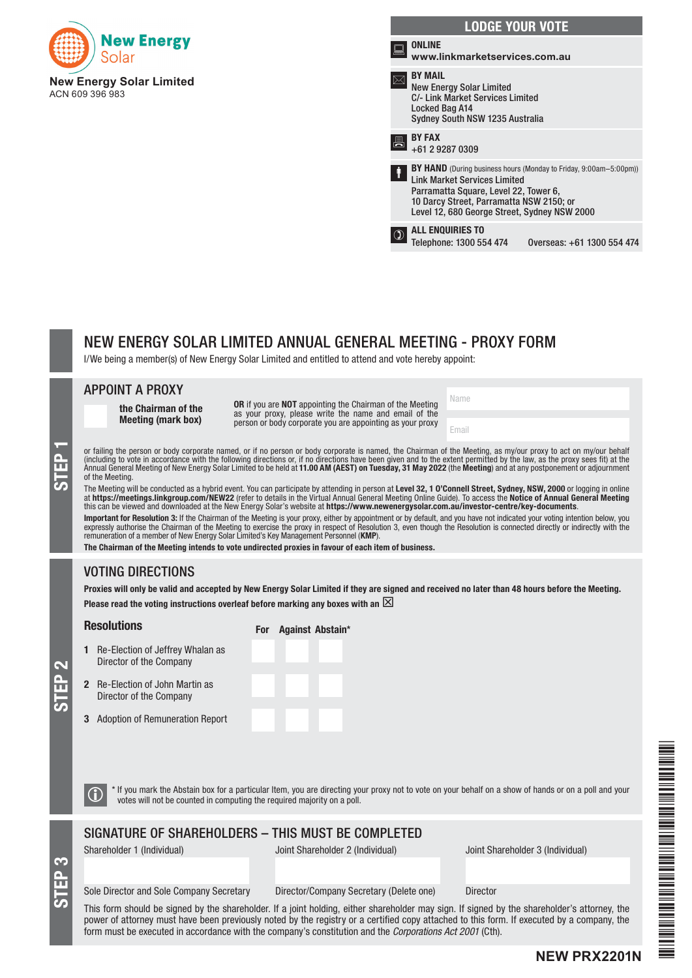

| <b>LODGE YOUR VOTE</b>                                                                                                                            |                                                                                                                                                                                                               |  |  |  |
|---------------------------------------------------------------------------------------------------------------------------------------------------|---------------------------------------------------------------------------------------------------------------------------------------------------------------------------------------------------------------|--|--|--|
| <b>ONLINE</b><br>www.linkmarketservices.com.au                                                                                                    |                                                                                                                                                                                                               |  |  |  |
| <b>BY MAIL</b><br><b>New Energy Solar Limited</b><br><b>C/- Link Market Services Limited</b><br>Locked Bag A14<br>Sydney South NSW 1235 Australia |                                                                                                                                                                                                               |  |  |  |
| <b>BY FAX</b><br>+61 2 9287 0309                                                                                                                  |                                                                                                                                                                                                               |  |  |  |
| ł<br><b>Link Market Services Limited</b>                                                                                                          | <b>BY HAND</b> (During business hours (Monday to Friday, 9:00am–5:00pm))<br>Parramatta Square, Level 22, Tower 6,<br>10 Darcy Street, Parramatta NSW 2150; or<br>Level 12, 680 George Street, Sydney NSW 2000 |  |  |  |
| <b>ALL ENQUIRIES TO</b><br>Telephone: 1300 554 474                                                                                                | Overseas: +61 1300 554 474                                                                                                                                                                                    |  |  |  |

Name

Email

# NEW ENERGY SOLAR LIMITED ANNUAL GENERAL MEETING - PROXY FORM

I/We being a member(s) of New Energy Solar Limited and entitled to attend and vote hereby appoint:

#### APPOINT A PROXY

the Chairman of the Meeting (mark box)

OR if you are NOT appointing the Chairman of the Meeting as your proxy, please write the name and email of the person or body corporate you are appointing as your proxy

or failing the person or body corporate named, or if no person or body corporate is named, the Chairman of the Meeting, as my/our proxy to act on my/our behalf (including to vote in accordance with the following directions (including to vote in accordance with the following directions or, if no directions have been given and to the extent permitted by the law, as the proxy sees fit) at the Annual General Meeting of New Energy Solar Limited to be held at 11.00 AM (AEST) on Tuesday, 31 May 2022 (the Meeting) and at any postponement or adjournment of the Meeting.

The Meeting will be conducted as a hybrid event. You can participate by attending in person at Level 32, 1 O'Connell Street, Sydney, NSW, 2000 or logging in online at https://meetings.linkgroup.com/NEW22 (refer to details in the Virtual Annual General Meeting Online Guide). To access the Notice of Annual General Meeting this can be viewed and downloaded at the New Energy Solar's website at https://www.newenergysolar.com.au/investor-centre/key-documents.

Important for Resolution 3: If the Chairman of the Meeting is your proxy, either by appointment or by default, and you have not indicated your voting intention below, you expressly authorise the Chairman of the Meeting to exercise the proxy in respect of Resolution 3, even though the Resolution is connected directly or indirectly with the remuneration of a member of New Energy Solar Limited's Key Management Personnel (KMP).

The Chairman of the Meeting intends to vote undirected proxies in favour of each item of business.

# VOTING DIRECTIONS

Proxies will only be valid and accepted by New Energy Solar Limited if they are signed and received no later than 48 hours before the Meeting. Please read the voting instructions overleaf before marking any boxes with an  $\boxtimes$ 

#### Resolutions

For Against Abstain\*

- $1$  Re Director of the Company
- $2$  Re Director of the Company
- $3$  Ad

| -Election of Jeffrey Whalan as<br>ector of the Company |  |  |  |
|--------------------------------------------------------|--|--|--|
| -Election of John Martin as<br>ector of the Company    |  |  |  |
| option of Remuneration Report                          |  |  |  |

STEP 3

STEP 2

 $\bigcirc$  \* If you mark the Abstain box for a particular Item, you are directing your proxy not to vote on your behalf on a show of hands or on a poll and your votes will not be counted in computing the required majority on a

# SIGNATURE OF SHAREHOLDERS – THIS MUST BE COMPLETED

Shareholder 1 (Individual) Joint Shareholder 2 (Individual) Joint Shareholder 3 (Individual)

**NEW PRX2201N**

# Sole Director and Sole Company Secretary Director/Company Secretary (Delete one) Director

This form should be signed by the shareholder. If a joint holding, either shareholder may sign. If signed by the shareholder's attorney, the power of attorney must have been previously noted by the registry or a certified copy attached to this form. If executed by a company, the form must be executed in accordance with the company's constitution and the *Corporations Act 2001* (Cth).